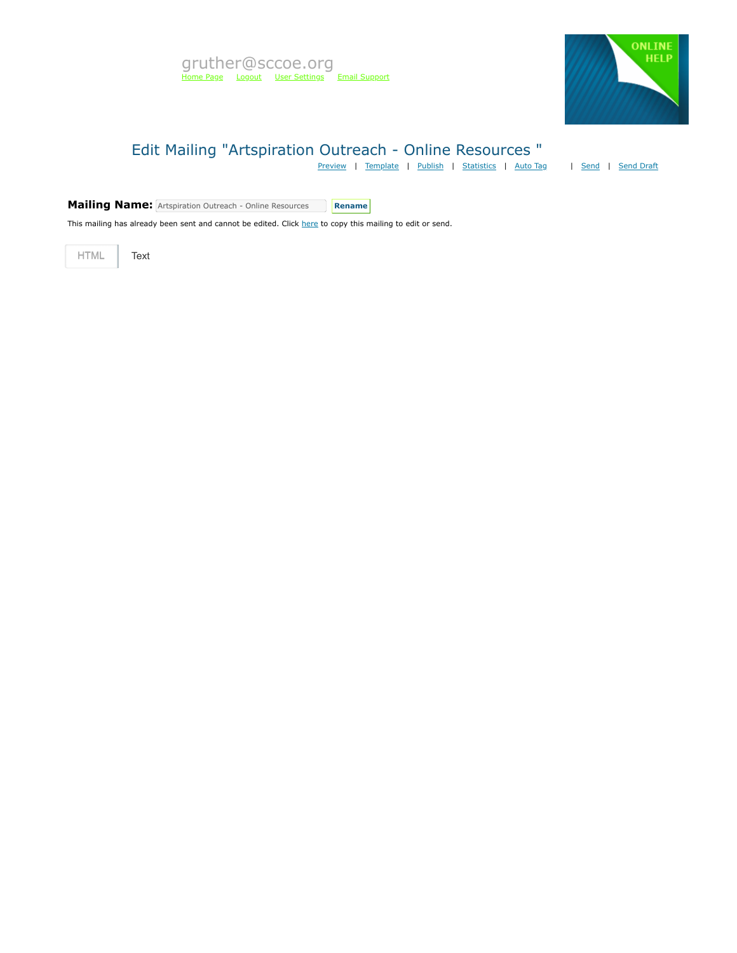

# Edit Mailing "Artspiration Outreach - Online Resources "

[Preview](https://mvapp.marketvolt.com/Mailing/Preview/713849) | [Template](https://mvapp.marketvolt.com/TemplatePreview.aspx?TemplateId=35366) | [Publish](https://mvapp.marketvolt.com/Mailing/Publish/713849) | [Statistics](https://mvapp.marketvolt.com/StatsMailing.aspx?MailingID=713849) | [Auto Tag](https://mvapp.marketvolt.com/AutoAssign.aspx?MailingID=713849) | | [Send](https://mvapp.marketvolt.com/Mailing/Schedule/713849) | [Send Draft](https://mvapp.marketvolt.com/SendDraft.aspx?MailingID=713849)

**Mailing Name:** Artspiration Outreach - Online Resources Rename

This mailing has already been sent and cannot be edited. Click [here](https://mvapp.marketvolt.com/Mailing/Copy/713849) to copy this mailing to edit or send.

HTML **Text**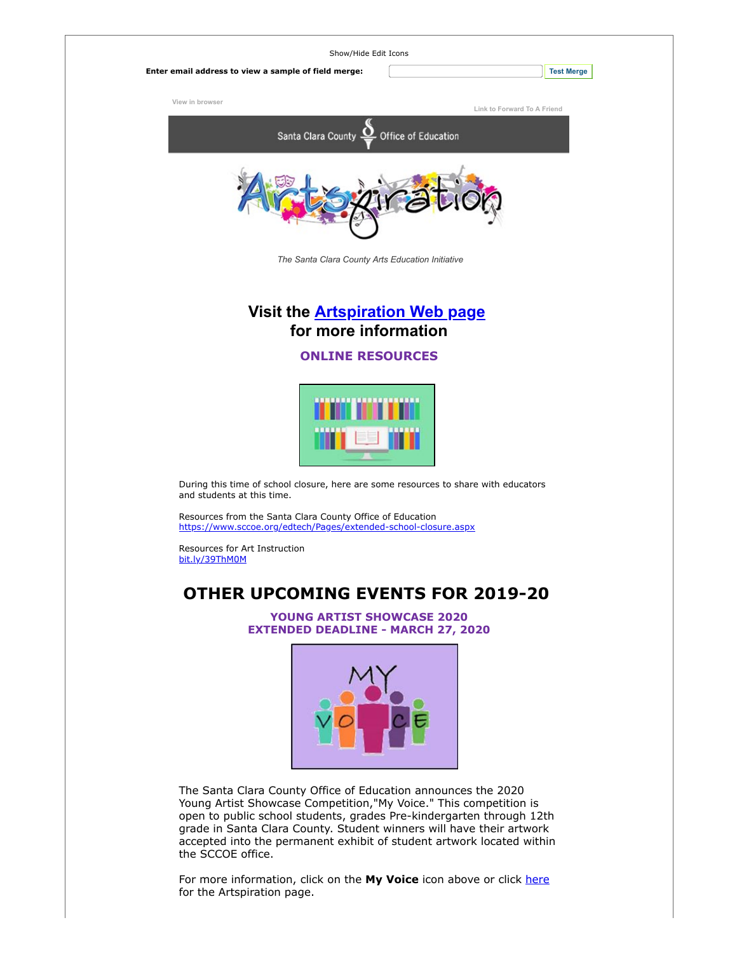| Show/Hide Edit Icons                                 |                             |
|------------------------------------------------------|-----------------------------|
| Enter email address to view a sample of field merge: | <b>Test Merge</b>           |
| View in browser                                      | Link to Forward To A Friend |
| Santa Clara County $Q$ Office of Education           |                             |
|                                                      |                             |

*The Santa Clara County Arts Education Initiative*

### **Visit the [Artspiration Web page](https://custapp.marketvolt.com/link/CpNsEHFpgI?CM=0&X=PREVIEW) for more information**

#### **ONLINE RESOURCES**



During this time of school closure, here are some resources to share with educators and students at this time.

Resources from the Santa Clara County Office of Education [https://www.sccoe.org/edtech/Pages/extended-school-closure.aspx](https://custapp.marketvolt.com/link/1l3MS8hcV1?CM=0&X=PREVIEW)

Resources for Art Instruction [bit.ly/39ThM0M](https://custapp.marketvolt.com/link/NRXcM9rh5I?CM=0&X=PREVIEW)

## **OTHER UPCOMING EVENTS FOR 2019-20**

**YOUNG ARTIST SHOWCASE 2020 EXTENDED DEADLINE - MARCH 27, 2020**



The Santa Clara County Office of Education announces the 2020 Young Artist Showcase Competition,"My Voice." This competition is open to public school students, grades Pre-kindergarten through 12th grade in Santa Clara County. Student winners will have their artwork accepted into the permanent exhibit of student artwork located within the SCCOE office.

For more information, click on the My Voice icon above or click [here](https://custapp.marketvolt.com/link/uuBshFnP11?CM=0&X=PREVIEW) for the Artspiration page.